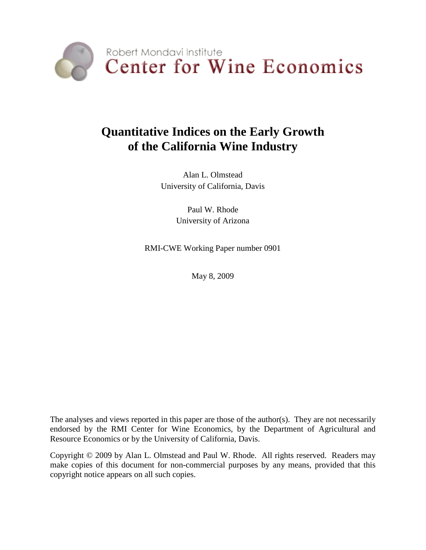

# **Quantitative Indices on the Early Growth of the California Wine Industry**

Alan L. Olmstead University of California, Davis

> Paul W. Rhode University of Arizona

RMI-CWE Working Paper number 0901

May 8, 2009

The analyses and views reported in this paper are those of the author(s). They are not necessarily endorsed by the RMI Center for Wine Economics, by the Department of Agricultural and Resource Economics or by the University of California, Davis.

Copyright © 2009 by Alan L. Olmstead and Paul W. Rhode. All rights reserved. Readers may make copies of this document for non-commercial purposes by any means, provided that this copyright notice appears on all such copies.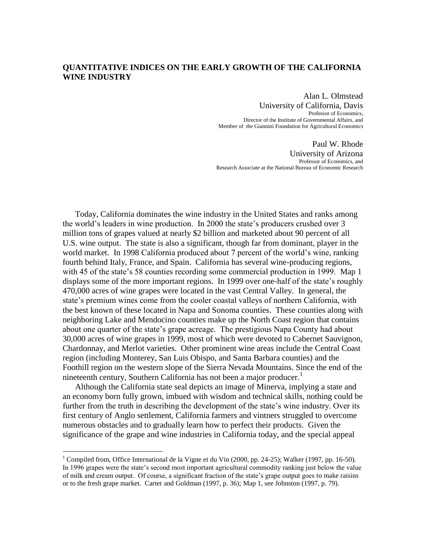#### **QUANTITATIVE INDICES ON THE EARLY GROWTH OF THE CALIFORNIA WINE INDUSTRY**

Alan L. Olmstead University of California, Davis Professor of Economics, Director of the Institute of Governmental Affairs, and Member of the Giannini Foundation for Agricultural Economics

Paul W. Rhode University of Arizona Professor of Economics, and Research Associate at the National Bureau of Economic Research

Today, California dominates the wine industry in the United States and ranks among the world"s leaders in wine production. In 2000 the state"s producers crushed over 3 million tons of grapes valued at nearly \$2 billion and marketed about 90 percent of all U.S. wine output. The state is also a significant, though far from dominant, player in the world market. In 1998 California produced about 7 percent of the world's wine, ranking fourth behind Italy, France, and Spain. California has several wine-producing regions, with 45 of the state's 58 counties recording some commercial production in 1999. Map 1 displays some of the more important regions. In 1999 over one-half of the state's roughly 470,000 acres of wine grapes were located in the vast Central Valley. In general, the state's premium wines come from the cooler coastal valleys of northern California, with the best known of these located in Napa and Sonoma counties. These counties along with neighboring Lake and Mendocino counties make up the North Coast region that contains about one quarter of the state's grape acreage. The prestigious Napa County had about 30,000 acres of wine grapes in 1999, most of which were devoted to Cabernet Sauvignon, Chardonnay, and Merlot varieties. Other prominent wine areas include the Central Coast region (including Monterey, San Luis Obispo, and Santa Barbara counties) and the Foothill region on the western slope of the Sierra Nevada Mountains. Since the end of the nineteenth century, Southern California has not been a major producer.<sup>1</sup>

Although the California state seal depicts an image of Minerva, implying a state and an economy born fully grown, imbued with wisdom and technical skills, nothing could be further from the truth in describing the development of the state's wine industry. Over its first century of Anglo settlement, California farmers and vintners struggled to overcome numerous obstacles and to gradually learn how to perfect their products. Given the significance of the grape and wine industries in California today, and the special appeal

<sup>&</sup>lt;sup>1</sup> Compiled from, Office International de la Vigne et du Vin (2000, pp. 24-25); Walker (1997, pp. 16-50). In 1996 grapes were the state"s second most important agricultural commodity ranking just below the value of milk and cream output. Of course, a significant fraction of the state"s grape output goes to make raisins or to the fresh grape market. Carter and Goldman (1997, p. 36); Map 1, see Johnston (1997, p. 79).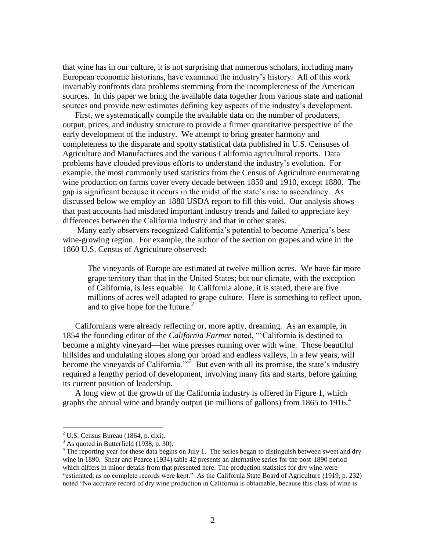that wine has in our culture, it is not surprising that numerous scholars, including many European economic historians, have examined the industry"s history. All of this work invariably confronts data problems stemming from the incompleteness of the American sources. In this paper we bring the available data together from various state and national sources and provide new estimates defining key aspects of the industry"s development.

First, we systematically compile the available data on the number of producers, output, prices, and industry structure to provide a firmer quantitative perspective of the early development of the industry. We attempt to bring greater harmony and completeness to the disparate and spotty statistical data published in U.S. Censuses of Agriculture and Manufactures and the various California agricultural reports. Data problems have clouded previous efforts to understand the industry"s evolution. For example, the most commonly used statistics from the Census of Agriculture enumerating wine production on farms cover every decade between 1850 and 1910, except 1880. The gap is significant because it occurs in the midst of the state"s rise to ascendancy. As discussed below we employ an 1880 USDA report to fill this void. Our analysis shows that past accounts had misdated important industry trends and failed to appreciate key differences between the California industry and that in other states.

Many early observers recognized California's potential to become America's best wine-growing region. For example, the author of the section on grapes and wine in the 1860 U.S. Census of Agriculture observed:

The vineyards of Europe are estimated at twelve million acres. We have far more grape territory than that in the United States; but our climate, with the exception of California, is less equable. In California alone, it is stated, there are five millions of acres well adapted to grape culture. Here is something to reflect upon, and to give hope for the future.<sup>2</sup>

Californians were already reflecting or, more aptly, dreaming. As an example, in 1854 the founding editor of the *California Farmer* noted, ""California is destined to become a mighty vineyard—her wine presses running over with wine. Those beautiful hillsides and undulating slopes along our broad and endless valleys, in a few years, will become the vineyards of California.<sup> $3\text{ }$ </sup> But even with all its promise, the state's industry required a lengthy period of development, involving many fits and starts, before gaining its current position of leadership.

A long view of the growth of the California industry is offered in Figure 1, which graphs the annual wine and brandy output (in millions of gallons) from 1865 to 1916.<sup>4</sup>

 $2^2$  U.S. Census Bureau (1864, p. clxi).

<sup>&</sup>lt;sup>3</sup> As quoted in Butterfield (1938, p. 30).

<sup>&</sup>lt;sup>4</sup> The reporting year for these data begins on July 1. The series began to distinguish between sweet and dry wine in 1890. Shear and Pearce (1934) table 42 presents an alternative series for the post-1890 period which differs in minor details from that presented here. The production statistics for dry wine were "estimated, as no complete records were kept." As the California State Board of Agriculture (1919, p. 232) noted "No accurate record of dry wine production in California is obtainable, because this class of wine is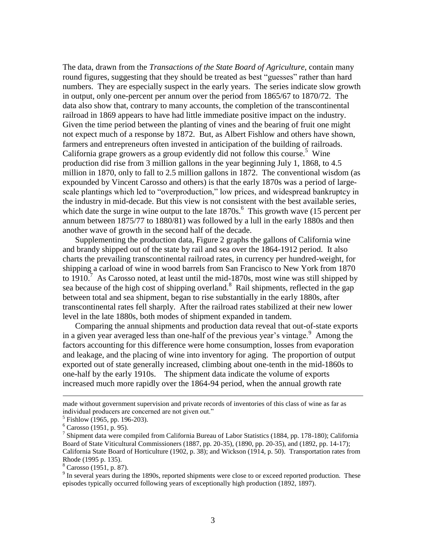The data, drawn from the *Transactions of the State Board of Agriculture*, contain many round figures, suggesting that they should be treated as best "guesses" rather than hard numbers. They are especially suspect in the early years. The series indicate slow growth in output, only one-percent per annum over the period from 1865/67 to 1870/72. The data also show that, contrary to many accounts, the completion of the transcontinental railroad in 1869 appears to have had little immediate positive impact on the industry. Given the time period between the planting of vines and the bearing of fruit one might not expect much of a response by 1872. But, as Albert Fishlow and others have shown, farmers and entrepreneurs often invested in anticipation of the building of railroads. California grape growers as a group evidently did not follow this course.<sup>5</sup> Wine production did rise from 3 million gallons in the year beginning July 1, 1868, to 4.5 million in 1870, only to fall to 2.5 million gallons in 1872. The conventional wisdom (as expounded by Vincent Carosso and others) is that the early 1870s was a period of largescale plantings which led to "overproduction," low prices, and widespread bankruptcy in the industry in mid-decade. But this view is not consistent with the best available series, which date the surge in wine output to the late  $1870s$ .<sup>6</sup> This growth wave (15 percent per annum between 1875/77 to 1880/81) was followed by a lull in the early 1880s and then another wave of growth in the second half of the decade.

Supplementing the production data, Figure 2 graphs the gallons of California wine and brandy shipped out of the state by rail and sea over the 1864-1912 period. It also charts the prevailing transcontinental railroad rates, in currency per hundred-weight, for shipping a carload of wine in wood barrels from San Francisco to New York from 1870 to  $1910$ .<sup>7</sup> As Carosso noted, at least until the mid-1870s, most wine was still shipped by sea because of the high cost of shipping overland.<sup>8</sup> Rail shipments, reflected in the gap between total and sea shipment, began to rise substantially in the early 1880s, after transcontinental rates fell sharply. After the railroad rates stabilized at their new lower level in the late 1880s, both modes of shipment expanded in tandem.

Comparing the annual shipments and production data reveal that out-of-state exports in a given year averaged less than one-half of the previous year's vintage.  $9$  Among the factors accounting for this difference were home consumption, losses from evaporation and leakage, and the placing of wine into inventory for aging. The proportion of output exported out of state generally increased, climbing about one-tenth in the mid-1860s to one-half by the early 1910s. The shipment data indicate the volume of exports increased much more rapidly over the 1864-94 period, when the annual growth rate

 $\overline{a}$ 

<sup>8</sup> Carosso (1951, p. 87).

 $9$  In several years during the 1890s, reported shipments were close to or exceed reported production. These episodes typically occurred following years of exceptionally high production (1892, 1897).

made without government supervision and private records of inventories of this class of wine as far as individual producers are concerned are not given out."

<sup>5</sup> Fishlow (1965, pp. 196-203).

 $6$  Carosso (1951, p. 95).

<sup>&</sup>lt;sup>7</sup> Shipment data were compiled from California Bureau of Labor Statistics (1884, pp. 178-180); California Board of State Viticultural Commissioners (1887, pp. 20-35), (1890, pp. 20-35), and (1892, pp. 14-17); California State Board of Horticulture (1902, p. 38); and Wickson (1914, p. 50). Transportation rates from Rhode (1995 p. 135).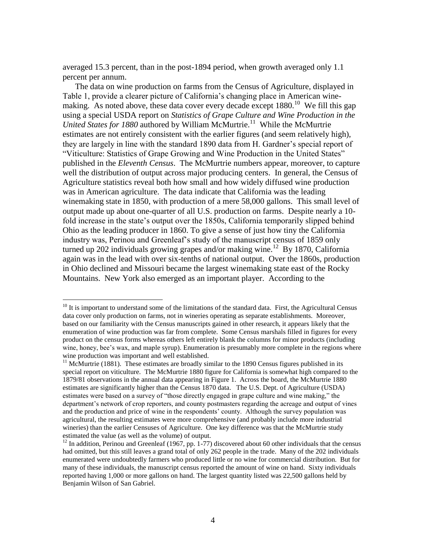averaged 15.3 percent, than in the post-1894 period, when growth averaged only 1.1 percent per annum.

The data on wine production on farms from the Census of Agriculture, displayed in Table 1, provide a clearer picture of California's changing place in American winemaking. As noted above, these data cover every decade except  $1880$ .<sup>10</sup> We fill this gap using a special USDA report on *Statistics of Grape Culture and Wine Production in the*  United States for 1880 authored by William McMurtrie.<sup>11</sup> While the McMurtrie estimates are not entirely consistent with the earlier figures (and seem relatively high), they are largely in line with the standard 1890 data from H. Gardner"s special report of "Viticulture: Statistics of Grape Growing and Wine Production in the United States" published in the *Eleventh Census*. The McMurtrie numbers appear, moreover, to capture well the distribution of output across major producing centers. In general, the Census of Agriculture statistics reveal both how small and how widely diffused wine production was in American agriculture. The data indicate that California was the leading winemaking state in 1850, with production of a mere 58,000 gallons. This small level of output made up about one-quarter of all U.S. production on farms. Despite nearly a 10 fold increase in the state's output over the 1850s, California temporarily slipped behind Ohio as the leading producer in 1860. To give a sense of just how tiny the California industry was, Perinou and Greenleaf"s study of the manuscript census of 1859 only turned up 202 individuals growing grapes and/or making wine.<sup>12</sup> By 1870, California again was in the lead with over six-tenths of national output. Over the 1860s, production in Ohio declined and Missouri became the largest winemaking state east of the Rocky Mountains. New York also emerged as an important player. According to the

<sup>&</sup>lt;sup>10</sup> It is important to understand some of the limitations of the standard data. First, the Agricultural Census data cover only production on farms, not in wineries operating as separate establishments. Moreover, based on our familiarity with the Census manuscripts gained in other research, it appears likely that the enumeration of wine production was far from complete. Some Census marshals filled in figures for every product on the census forms whereas others left entirely blank the columns for minor products (including wine, honey, bee's wax, and maple syrup). Enumeration is presumably more complete in the regions where wine production was important and well established.

 $11$  McMurtrie (1881). These estimates are broadly similar to the 1890 Census figures published in its special report on viticulture. The McMurtrie 1880 figure for California is somewhat high compared to the 1879/81 observations in the annual data appearing in Figure 1. Across the board, the McMurtrie 1880 estimates are significantly higher than the Census 1870 data. The U.S. Dept. of Agriculture (USDA) estimates were based on a survey of "those directly engaged in grape culture and wine making," the department's network of crop reporters, and county postmasters regarding the acreage and output of vines and the production and price of wine in the respondents' county. Although the survey population was agricultural, the resulting estimates were more comprehensive (and probably include more industrial wineries) than the earlier Censuses of Agriculture. One key difference was that the McMurtrie study estimated the value (as well as the volume) of output.

 $12$  In addition, Perinou and Greenleaf (1967, pp. 1-77) discovered about 60 other individuals that the census had omitted, but this still leaves a grand total of only 262 people in the trade. Many of the 202 individuals enumerated were undoubtedly farmers who produced little or no wine for commercial distribution. But for many of these individuals, the manuscript census reported the amount of wine on hand. Sixty individuals reported having 1,000 or more gallons on hand. The largest quantity listed was 22,500 gallons held by Benjamin Wilson of San Gabriel.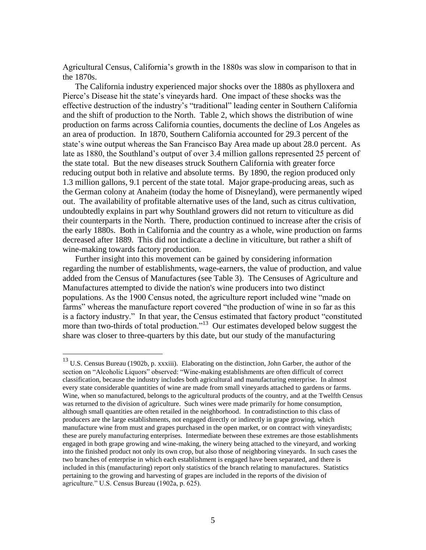Agricultural Census, California"s growth in the 1880s was slow in comparison to that in the 1870s.

The California industry experienced major shocks over the 1880s as phylloxera and Pierce's Disease hit the state's vineyards hard. One impact of these shocks was the effective destruction of the industry"s "traditional" leading center in Southern California and the shift of production to the North. Table 2, which shows the distribution of wine production on farms across California counties, documents the decline of Los Angeles as an area of production. In 1870, Southern California accounted for 29.3 percent of the state's wine output whereas the San Francisco Bay Area made up about 28.0 percent. As late as 1880, the Southland's output of over 3.4 million gallons represented 25 percent of the state total. But the new diseases struck Southern California with greater force reducing output both in relative and absolute terms. By 1890, the region produced only 1.3 million gallons, 9.1 percent of the state total. Major grape-producing areas, such as the German colony at Anaheim (today the home of Disneyland), were permanently wiped out. The availability of profitable alternative uses of the land, such as citrus cultivation, undoubtedly explains in part why Southland growers did not return to viticulture as did their counterparts in the North. There, production continued to increase after the crisis of the early 1880s. Both in California and the country as a whole, wine production on farms decreased after 1889. This did not indicate a decline in viticulture, but rather a shift of wine-making towards factory production.

Further insight into this movement can be gained by considering information regarding the number of establishments, wage-earners, the value of production, and value added from the Census of Manufactures (see Table 3). The Censuses of Agriculture and Manufactures attempted to divide the nation's wine producers into two distinct populations. As the 1900 Census noted, the agriculture report included wine "made on farms" whereas the manufacture report covered "the production of wine in so far as this is a factory industry." In that year, the Census estimated that factory product "constituted more than two-thirds of total production."<sup>13</sup> Our estimates developed below suggest the share was closer to three-quarters by this date, but our study of the manufacturing

 $13$  U.S. Census Bureau (1902b, p. xxxiii). Elaborating on the distinction, John Garber, the author of the section on "Alcoholic Liquors" observed: "Wine-making establishments are often difficult of correct classification, because the industry includes both agricultural and manufacturing enterprise. In almost every state considerable quantities of wine are made from small vineyards attached to gardens or farms. Wine, when so manufactured, belongs to the agricultural products of the country, and at the Twelfth Census was returned to the division of agriculture. Such wines were made primarily for home consumption, although small quantities are often retailed in the neighborhood. In contradistinction to this class of producers are the large establishments, not engaged directly or indirectly in grape growing, which manufacture wine from must and grapes purchased in the open market, or on contract with vineyardists; these are purely manufacturing enterprises. Intermediate between these extremes are those establishments engaged in both grape growing and wine-making, the winery being attached to the vineyard, and working into the finished product not only its own crop, but also those of neighboring vineyards. In such cases the two branches of enterprise in which each establishment is engaged have been separated, and there is included in this (manufacturing) report only statistics of the branch relating to manufactures. Statistics pertaining to the growing and harvesting of grapes are included in the reports of the division of agriculture." U.S. Census Bureau (1902a, p. 625).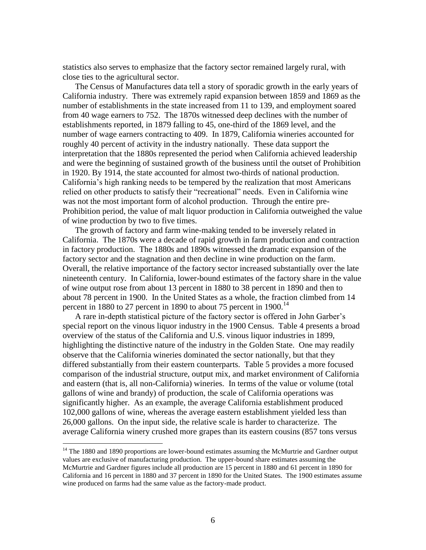statistics also serves to emphasize that the factory sector remained largely rural, with close ties to the agricultural sector.

The Census of Manufactures data tell a story of sporadic growth in the early years of California industry. There was extremely rapid expansion between 1859 and 1869 as the number of establishments in the state increased from 11 to 139, and employment soared from 40 wage earners to 752. The 1870s witnessed deep declines with the number of establishments reported, in 1879 falling to 45, one-third of the 1869 level, and the number of wage earners contracting to 409. In 1879, California wineries accounted for roughly 40 percent of activity in the industry nationally. These data support the interpretation that the 1880s represented the period when California achieved leadership and were the beginning of sustained growth of the business until the outset of Prohibition in 1920. By 1914, the state accounted for almost two-thirds of national production. California"s high ranking needs to be tempered by the realization that most Americans relied on other products to satisfy their "recreational" needs. Even in California wine was not the most important form of alcohol production. Through the entire pre-Prohibition period, the value of malt liquor production in California outweighed the value of wine production by two to five times.

The growth of factory and farm wine-making tended to be inversely related in California. The 1870s were a decade of rapid growth in farm production and contraction in factory production. The 1880s and 1890s witnessed the dramatic expansion of the factory sector and the stagnation and then decline in wine production on the farm. Overall, the relative importance of the factory sector increased substantially over the late nineteenth century. In California, lower-bound estimates of the factory share in the value of wine output rose from about 13 percent in 1880 to 38 percent in 1890 and then to about 78 percent in 1900. In the United States as a whole, the fraction climbed from 14 percent in 1880 to 27 percent in 1890 to about 75 percent in 1900.<sup>14</sup>

A rare in-depth statistical picture of the factory sector is offered in John Garber"s special report on the vinous liquor industry in the 1900 Census. Table 4 presents a broad overview of the status of the California and U.S. vinous liquor industries in 1899, highlighting the distinctive nature of the industry in the Golden State. One may readily observe that the California wineries dominated the sector nationally, but that they differed substantially from their eastern counterparts. Table 5 provides a more focused comparison of the industrial structure, output mix, and market environment of California and eastern (that is, all non-California) wineries. In terms of the value or volume (total gallons of wine and brandy) of production, the scale of California operations was significantly higher. As an example, the average California establishment produced 102,000 gallons of wine, whereas the average eastern establishment yielded less than 26,000 gallons. On the input side, the relative scale is harder to characterize. The average California winery crushed more grapes than its eastern cousins (857 tons versus

<sup>&</sup>lt;sup>14</sup> The 1880 and 1890 proportions are lower-bound estimates assuming the McMurtrie and Gardner output values are exclusive of manufacturing production. The upper-bound share estimates assuming the McMurtrie and Gardner figures include all production are 15 percent in 1880 and 61 percent in 1890 for California and 16 percent in 1880 and 37 percent in 1890 for the United States. The 1900 estimates assume wine produced on farms had the same value as the factory-made product.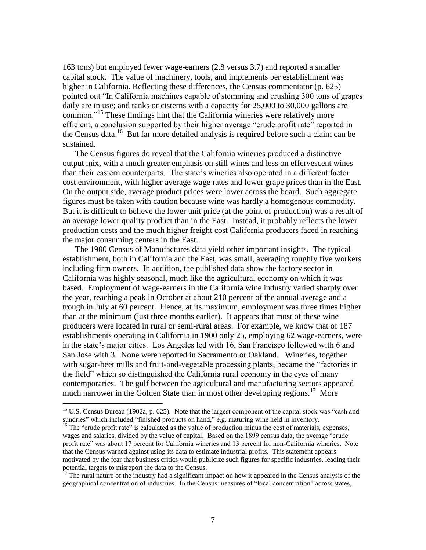163 tons) but employed fewer wage-earners (2.8 versus 3.7) and reported a smaller capital stock. The value of machinery, tools, and implements per establishment was higher in California. Reflecting these differences, the Census commentator (p. 625) pointed out "In California machines capable of stemming and crushing 300 tons of grapes daily are in use; and tanks or cisterns with a capacity for 25,000 to 30,000 gallons are common."<sup>15</sup> These findings hint that the California wineries were relatively more efficient, a conclusion supported by their higher average "crude profit rate" reported in the Census data.<sup>16</sup> But far more detailed analysis is required before such a claim can be sustained.

The Census figures do reveal that the California wineries produced a distinctive output mix, with a much greater emphasis on still wines and less on effervescent wines than their eastern counterparts. The state"s wineries also operated in a different factor cost environment, with higher average wage rates and lower grape prices than in the East. On the output side, average product prices were lower across the board. Such aggregate figures must be taken with caution because wine was hardly a homogenous commodity. But it is difficult to believe the lower unit price (at the point of production) was a result of an average lower quality product than in the East. Instead, it probably reflects the lower production costs and the much higher freight cost California producers faced in reaching the major consuming centers in the East.

The 1900 Census of Manufactures data yield other important insights. The typical establishment, both in California and the East, was small, averaging roughly five workers including firm owners. In addition, the published data show the factory sector in California was highly seasonal, much like the agricultural economy on which it was based. Employment of wage-earners in the California wine industry varied sharply over the year, reaching a peak in October at about 210 percent of the annual average and a trough in July at 60 percent. Hence, at its maximum, employment was three times higher than at the minimum (just three months earlier). It appears that most of these wine producers were located in rural or semi-rural areas. For example, we know that of 187 establishments operating in California in 1900 only 25, employing 62 wage-earners, were in the state"s major cities. Los Angeles led with 16, San Francisco followed with 6 and San Jose with 3. None were reported in Sacramento or Oakland. Wineries, together with sugar-beet mills and fruit-and-vegetable processing plants, became the "factories in the field" which so distinguished the California rural economy in the eyes of many contemporaries. The gulf between the agricultural and manufacturing sectors appeared much narrower in the Golden State than in most other developing regions.<sup>17</sup> More

 $\overline{a}$ 

 $17$  The rural nature of the industry had a significant impact on how it appeared in the Census analysis of the geographical concentration of industries. In the Census measures of "local concentration" across states,

<sup>&</sup>lt;sup>15</sup> U.S. Census Bureau (1902a, p. 625). Note that the largest component of the capital stock was "cash and sundries" which included "finished products on hand," e.g. maturing wine held in inventory.

<sup>&</sup>lt;sup>16</sup> The "crude profit rate" is calculated as the value of production minus the cost of materials, expenses, wages and salaries, divided by the value of capital. Based on the 1899 census data, the average "crude profit rate" was about 17 percent for California wineries and 13 percent for non-California wineries. Note that the Census warned against using its data to estimate industrial profits. This statement appears motivated by the fear that business critics would publicize such figures for specific industries, leading their potential targets to misreport the data to the Census.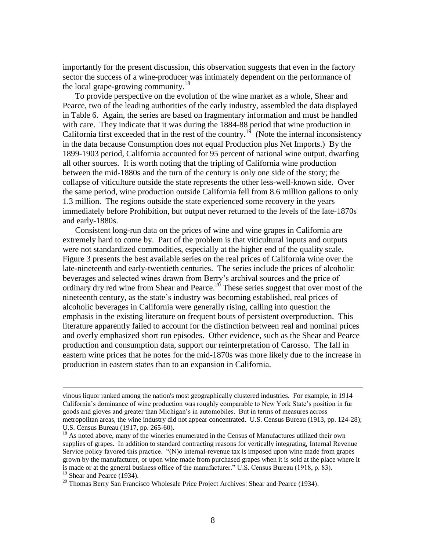importantly for the present discussion, this observation suggests that even in the factory sector the success of a wine-producer was intimately dependent on the performance of the local grape-growing community.<sup>18</sup>

To provide perspective on the evolution of the wine market as a whole, Shear and Pearce, two of the leading authorities of the early industry, assembled the data displayed in Table 6. Again, the series are based on fragmentary information and must be handled with care. They indicate that it was during the 1884-88 period that wine production in California first exceeded that in the rest of the country.<sup>19</sup> (Note the internal inconsistency in the data because Consumption does not equal Production plus Net Imports.) By the 1899-1903 period, California accounted for 95 percent of national wine output, dwarfing all other sources. It is worth noting that the tripling of California wine production between the mid-1880s and the turn of the century is only one side of the story; the collapse of viticulture outside the state represents the other less-well-known side. Over the same period, wine production outside California fell from 8.6 million gallons to only 1.3 million. The regions outside the state experienced some recovery in the years immediately before Prohibition, but output never returned to the levels of the late-1870s and early-1880s.

Consistent long-run data on the prices of wine and wine grapes in California are extremely hard to come by. Part of the problem is that viticultural inputs and outputs were not standardized commodities, especially at the higher end of the quality scale. Figure 3 presents the best available series on the real prices of California wine over the late-nineteenth and early-twentieth centuries. The series include the prices of alcoholic beverages and selected wines drawn from Berry"s archival sources and the price of ordinary dry red wine from Shear and Pearce.<sup>20</sup> These series suggest that over most of the nineteenth century, as the state"s industry was becoming established, real prices of alcoholic beverages in California were generally rising, calling into question the emphasis in the existing literature on frequent bouts of persistent overproduction. This literature apparently failed to account for the distinction between real and nominal prices and overly emphasized short run episodes. Other evidence, such as the Shear and Pearce production and consumption data, support our reinterpretation of Carosso. The fall in eastern wine prices that he notes for the mid-1870s was more likely due to the increase in production in eastern states than to an expansion in California.

vinous liquor ranked among the nation's most geographically clustered industries. For example, in 1914 California's dominance of wine production was roughly comparable to New York State's position in fur goods and gloves and greater than Michigan"s in automobiles. But in terms of measures across metropolitan areas, the wine industry did not appear concentrated. U.S. Census Bureau (1913, pp. 124-28); U.S. Census Bureau (1917, pp. 265-60).

<sup>&</sup>lt;sup>18</sup> As noted above, many of the wineries enumerated in the Census of Manufactures utilized their own supplies of grapes. In addition to standard contracting reasons for vertically integrating, Internal Revenue Service policy favored this practice. "(N)o internal-revenue tax is imposed upon wine made from grapes grown by the manufacturer, or upon wine made from purchased grapes when it is sold at the place where it is made or at the general business office of the manufacturer." U.S. Census Bureau (1918, p. 83).

<sup>&</sup>lt;sup>19</sup> Shear and Pearce (1934).

 $20$  Thomas Berry San Francisco Wholesale Price Project Archives; Shear and Pearce (1934).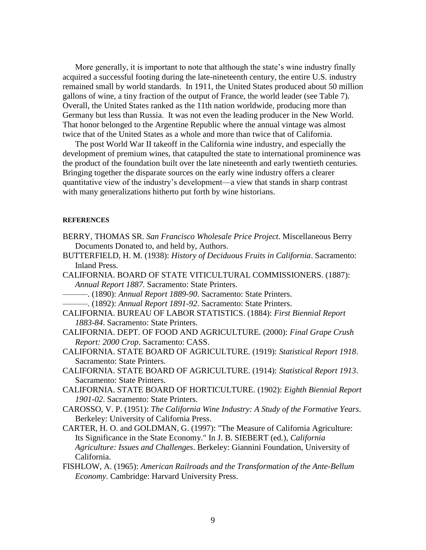More generally, it is important to note that although the state's wine industry finally acquired a successful footing during the late-nineteenth century, the entire U.S. industry remained small by world standards. In 1911, the United States produced about 50 million gallons of wine, a tiny fraction of the output of France, the world leader (see Table 7). Overall, the United States ranked as the 11th nation worldwide, producing more than Germany but less than Russia. It was not even the leading producer in the New World. That honor belonged to the Argentine Republic where the annual vintage was almost twice that of the United States as a whole and more than twice that of California.

The post World War II takeoff in the California wine industry, and especially the development of premium wines, that catapulted the state to international prominence was the product of the foundation built over the late nineteenth and early twentieth centuries. Bringing together the disparate sources on the early wine industry offers a clearer quantitative view of the industry"s development—a view that stands in sharp contrast with many generalizations hitherto put forth by wine historians.

#### **REFERENCES**

- BERRY, THOMAS SR. *San Francisco Wholesale Price Project*. Miscellaneous Berry Documents Donated to, and held by, Authors.
- BUTTERFIELD, H. M. (1938): *History of Deciduous Fruits in California*. Sacramento: Inland Press.
- CALIFORNIA. BOARD OF STATE VITICULTURAL COMMISSIONERS. (1887): *Annual Report 1887.* Sacramento: State Printers.
- ———. (1890): *Annual Report 1889-90*. Sacramento: State Printers.
- ———. (1892): *Annual Report 1891-92*. Sacramento: State Printers.
- CALIFORNIA. BUREAU OF LABOR STATISTICS. (1884): *First Biennial Report 1883-84*. Sacramento: State Printers.
- CALIFORNIA. DEPT. OF FOOD AND AGRICULTURE. (2000): *Final Grape Crush Report: 2000 Crop*. Sacramento: CASS.
- CALIFORNIA. STATE BOARD OF AGRICULTURE. (1919): *Statistical Report 1918*. Sacramento: State Printers.
- CALIFORNIA. STATE BOARD OF AGRICULTURE. (1914): *Statistical Report 1913*. Sacramento: State Printers.
- CALIFORNIA. STATE BOARD OF HORTICULTURE. (1902): *Eighth Biennial Report 1901-02*. Sacramento: State Printers.
- CAROSSO, V. P. (1951): *The California Wine Industry: A Study of the Formative Years*. Berkeley: University of California Press.
- CARTER, H. O. and GOLDMAN, G. (1997): "The Measure of California Agriculture: Its Significance in the State Economy." In J. B. SIEBERT (ed.), *California Agriculture: Issues and Challenges*. Berkeley: Giannini Foundation, University of California.
- FISHLOW, A. (1965): *American Railroads and the Transformation of the Ante-Bellum Economy*. Cambridge: Harvard University Press.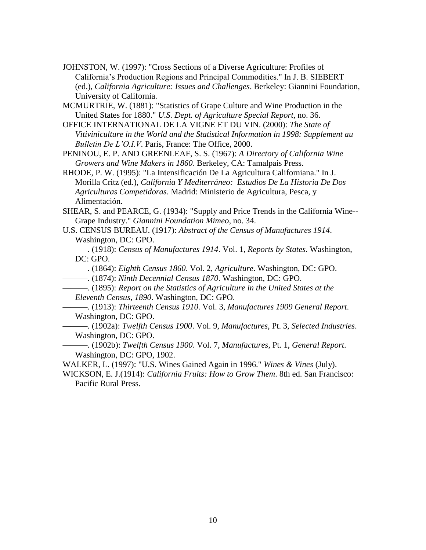- JOHNSTON, W. (1997): "Cross Sections of a Diverse Agriculture: Profiles of California"s Production Regions and Principal Commodities." In J. B. SIEBERT (ed.), *California Agriculture: Issues and Challenges*. Berkeley: Giannini Foundation, University of California.
- MCMURTRIE, W. (1881): "Statistics of Grape Culture and Wine Production in the United States for 1880." *U.S. Dept. of Agriculture Special Report*, no. 36.
- OFFICE INTERNATIONAL DE LA VIGNE ET DU VIN. (2000): *The State of Vitiviniculture in the World and the Statistical Information in 1998: Supplement au Bulletin De L'O.I.V*. Paris, France: The Office, 2000.
- PENINOU, E. P. AND GREENLEAF, S. S. (1967): *A Directory of California Wine Growers and Wine Makers in 1860*. Berkeley, CA: Tamalpais Press.
- RHODE, P. W. (1995): "La Intensificación De La Agricultura Californiana." In J. Morilla Critz (ed.), *California Y Mediterráneo: Estudios De La Historia De Dos Agriculturas Competidoras*. Madrid: Ministerio de Agricultura, Pesca, y Alimentación.

SHEAR, S. and PEARCE, G. (1934): "Supply and Price Trends in the California Wine-- Grape Industry." *Giannini Foundation Mimeo*, no. 34.

U.S. CENSUS BUREAU. (1917): *Abstract of the Census of Manufactures 1914*. Washington, DC: GPO.

———. (1918): *Census of Manufactures 1914*. Vol. 1, *Reports by States*. Washington, DC: GPO.

- ———. (1864): *Eighth Census 1860*. Vol. 2, *Agriculture*. Washington, DC: GPO.
- ———. (1874): *Ninth Decennial Census 1870*. Washington, DC: GPO.
- ———. (1895): *Report on the Statistics of Agriculture in the United States at the Eleventh Census, 1890*. Washington, DC: GPO.
	- ———. (1913): *Thirteenth Census 1910*. Vol. 3, *Manufactures 1909 General Report*. Washington, DC: GPO.

———. (1902a): *Twelfth Census 1900*. Vol. 9, *Manufactures*, Pt. 3, *Selected Industries*. Washington, DC: GPO.

———. (1902b): *Twelfth Census 1900*. Vol. 7, *Manufactures*, Pt. 1, *General Report*. Washington, DC: GPO, 1902.

WALKER, L. (1997): "U.S. Wines Gained Again in 1996." *Wines & Vines* (July).

WICKSON, E. J.(1914): *California Fruits: How to Grow Them*. 8th ed. San Francisco: Pacific Rural Press.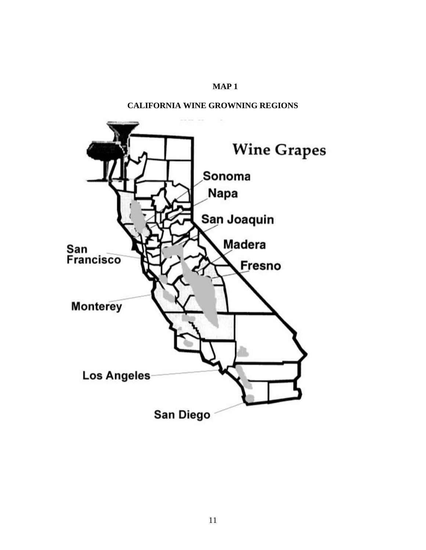#### **MAP 1**

#### **CALIFORNIA WINE GROWNING REGIONS**

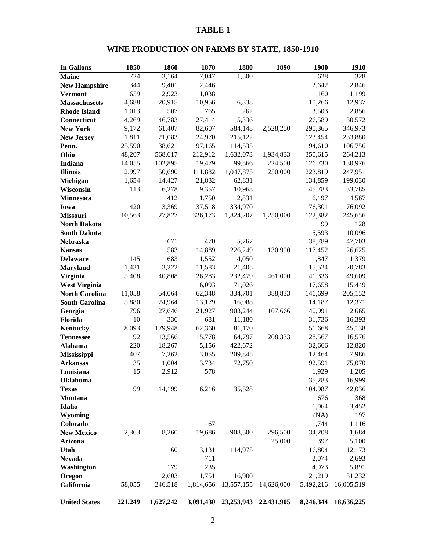### **WINE PRODUCTION ON FARMS BY STATE, 1850-1910**

| <b>In Gallons</b>     | 1850    | 1860      | 1870      | 1880         | 1890       | <b>1900</b> | 1910       |
|-----------------------|---------|-----------|-----------|--------------|------------|-------------|------------|
| <b>Maine</b>          | 724     | 3,164     | 7,047     | 1,500        |            | 628         | 328        |
| <b>New Hampshire</b>  | 344     | 9,401     | 2,446     |              |            | 2,642       | 2,846      |
| <b>Vermont</b>        | 659     | 2,923     | 1,038     |              |            | 160         | 1,199      |
| <b>Massachusetts</b>  | 4,688   | 20,915    | 10,956    | 6,338        |            | 10,266      | 12,937     |
| <b>Rhode Island</b>   | 1,013   | 507       | 765       | 262          |            | 3,503       | 2,856      |
| Connecticut           | 4,269   | 46,783    | 27,414    | 5,336        |            | 26,589      | 30,572     |
| <b>New York</b>       | 9,172   | 61,407    | 82,607    | 584,148      | 2,528,250  | 290,365     | 346,973    |
| <b>New Jersey</b>     | 1,811   | 21,083    | 24,970    | 215,122      |            | 123,454     | 233,880    |
| Penn.                 | 25,590  | 38,621    | 97,165    | 114,535      |            | 194,610     | 106,756    |
| Ohio                  | 48,207  | 568,617   | 212,912   | 1,632,073    | 1,934,833  | 350,615     | 264,213    |
| <b>Indiana</b>        | 14,055  | 102,895   | 19,479    | 99,566       | 224,500    | 126,730     | 130,976    |
| <b>Illinois</b>       | 2,997   | 50,690    | 111,882   | 1,047,875    | 250,000    | 223,819     | 247,951    |
| Michigan              | 1,654   | 14,427    | 21,832    | 62,831       |            | 134,859     | 199,030    |
| Wisconsin             | 113     | 6,278     | 9,357     | 10,968       |            | 45,783      | 33,785     |
| <b>Minnesota</b>      |         | 412       | 1,750     | 2,831        |            | 6,197       | 4,567      |
| Iowa                  | 420     | 3,369     | 37,518    | 334,970      |            | 76,301      | 76,092     |
| <b>Missouri</b>       | 10,563  | 27,827    | 326,173   | 1,824,207    | 1,250,000  | 122,382     | 245,656    |
| <b>North Dakota</b>   |         |           |           |              |            | 99          | 128        |
| <b>South Dakota</b>   |         |           |           |              |            | 5,593       | 10,096     |
| Nebraska              |         | 671       | 470       | 5,767        |            | 38,789      | 47,703     |
| <b>Kansas</b>         |         | 583       | 14,889    | 226,249      | 130,990    | 117,452     | 26,625     |
| <b>Delaware</b>       | 145     | 683       | 1,552     | 4,050        |            | 1,847       | 1,379      |
| <b>Maryland</b>       | 1,431   | 3,222     | 11,583    | 21,405       |            | 15,524      | 20,783     |
| <b>Virginia</b>       | 5,408   | 40,808    | 26,283    | 232,479      | 461,000    | 41,336      | 49,609     |
| <b>West Virginia</b>  |         |           | 6,093     | 71,026       |            | 17,658      | 15,449     |
| <b>North Carolina</b> | 11,058  | 54,064    | 62,348    | 334,701      | 388,833    | 146,699     | 205,152    |
| <b>South Carolina</b> | 5,880   | 24,964    | 13,179    | 16,988       |            | 14,187      | 12,371     |
| Georgia               | 796     | 27,646    | 21,927    | 903,244      | 107,666    | 140,991     | 2,665      |
| Florida               | 10      | 336       | 681       | 11,180       |            | 31,736      | 16,393     |
| <b>Kentucky</b>       | 8,093   | 179,948   | 62,360    | 81,170       |            | 51,668      | 45,138     |
| <b>Tennessee</b>      | 92      | 13,566    | 15,778    | 64,797       | 208,333    | 28,567      | 16,576     |
| Alabama               | 220     | 18,267    | 5,156     | 422,672      |            | 32,666      | 12,820     |
| Mississippi           | 407     | 7,262     | 3,055     | 209,845      |            | 12,464      | 7,986      |
| <b>Arkansas</b>       | 35      | 1,004     | 3,734     | 72,750       |            | 92,591      | 75,070     |
| Louisiana             | 15      | 2,912     | 578       |              |            | 1,929       | 1,205      |
| Oklahoma              |         |           |           |              |            | 35,283      | 16,999     |
| <b>Texas</b>          | 99      | 14,199    | 6,216     | 35,528       |            | 104,987     | 42,036     |
| Montana               |         |           |           |              |            | 676         | 368        |
| Idaho                 |         |           |           |              |            | 1,064       | 3,452      |
| Wyoming               |         |           |           |              |            | (NA)        | 197        |
| Colorado              |         |           | 67        |              |            | 1,744       | 1,116      |
| <b>New Mexico</b>     | 2,363   | 8,260     | 19,686    | 908,500      | 296,500    | 34,208      | 1,684      |
| Arizona               |         |           |           |              | 25,000     | 397         | 5,100      |
| Utah                  |         | 60        | 3,131     | 114,975      |            | 16,804      | 12,173     |
| <b>Nevada</b>         |         |           | 711       |              |            | 2,074       | 2,693      |
| Washington            |         | 179       | 235       |              |            | 4,973       | 5,891      |
| Oregon                |         | 2,603     | 1,751     | 16,900       |            | 21,219      | 31,232     |
| California            | 58,055  | 246,518   | 1,814,656 | 13,557,155   | 14,626,000 | 5,492,216   | 16,005,519 |
| <b>United States</b>  | 221,249 | 1,627,242 | 3,091,430 | 23, 253, 943 | 22,431,905 | 8,246,344   | 18,636,225 |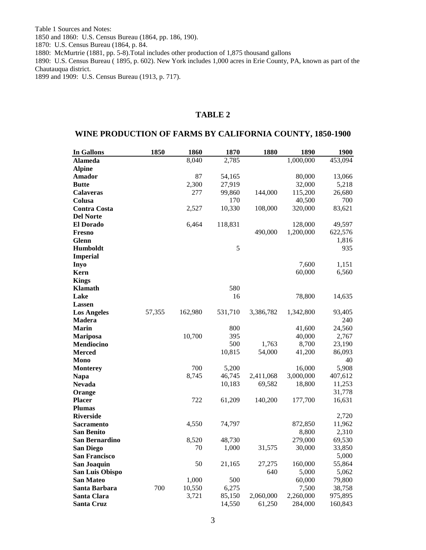Table 1 Sources and Notes: 1850 and 1860: U.S. Census Bureau (1864, pp. 186, 190).

1870: U.S. Census Bureau (1864, p. 84.

1880: McMurtrie (1881, pp. 5-8).Total includes other production of 1,875 thousand gallons

1890: U.S. Census Bureau ( 1895, p. 602). New York includes 1,000 acres in Erie County, PA, known as part of the Chautauqua district.

1899 and 1909: U.S. Census Bureau (1913, p. 717).

#### **TABLE 2**

#### **WINE PRODUCTION OF FARMS BY CALIFORNIA COUNTY, 1850-1900**

| In Gallons           | 1850   | 1860    | 1870    | 1880      | 1890      | 1900    |
|----------------------|--------|---------|---------|-----------|-----------|---------|
| <b>Alameda</b>       |        | 8,040   | 2,785   |           | 1,000,000 | 453,094 |
| <b>Alpine</b>        |        |         |         |           |           |         |
| Amador               |        | 87      | 54,165  |           | 80,000    | 13,066  |
| <b>Butte</b>         |        | 2,300   | 27,919  |           | 32,000    | 5,218   |
| <b>Calaveras</b>     |        | 277     | 99,860  | 144,000   | 115,200   | 26,680  |
| Colusa               |        |         | 170     |           | 40,500    | 700     |
| <b>Contra Costa</b>  |        | 2,527   | 10,330  | 108,000   | 320,000   | 83,621  |
| <b>Del Norte</b>     |        |         |         |           |           |         |
| <b>El Dorado</b>     |        | 6,464   | 118,831 |           | 128,000   | 49,597  |
| <b>Fresno</b>        |        |         |         | 490,000   | 1,200,000 | 622,576 |
| Glenn                |        |         |         |           |           | 1,816   |
| <b>Humboldt</b>      |        |         | 5       |           |           | 935     |
| <b>Imperial</b>      |        |         |         |           |           |         |
| <b>Inyo</b>          |        |         |         |           | 7,600     | 1,151   |
| Kern                 |        |         |         |           | 60,000    | 6,560   |
| <b>Kings</b>         |        |         |         |           |           |         |
| <b>Klamath</b>       |        |         | 580     |           |           |         |
| Lake                 |        |         | 16      |           | 78,800    | 14,635  |
| Lassen               |        |         |         |           |           |         |
| <b>Los Angeles</b>   | 57,355 | 162,980 | 531,710 | 3,386,782 | 1,342,800 | 93,405  |
| Madera               |        |         |         |           |           | 240     |
| <b>Marin</b>         |        |         | 800     |           | 41,600    | 24,560  |
| <b>Mariposa</b>      |        | 10,700  | 395     |           | 40,000    | 2,767   |
| Mendiocino           |        |         | 500     | 1,763     | 8,700     | 23,190  |
| <b>Merced</b>        |        |         | 10,815  | 54,000    | 41,200    | 86,093  |
| Mono                 |        |         |         |           |           | 40      |
| <b>Monterey</b>      |        | 700     | 5,200   |           | 16,000    | 5,908   |
| <b>Napa</b>          |        | 8,745   | 46,745  | 2,411,068 | 3,000,000 | 407,612 |
| <b>Nevada</b>        |        |         | 10,183  | 69,582    | 18,800    | 11,253  |
| Orange               |        |         |         |           |           | 31,778  |
| <b>Placer</b>        |        | 722     | 61,209  | 140,200   | 177,700   | 16,631  |
| <b>Plumas</b>        |        |         |         |           |           |         |
| <b>Riverside</b>     |        |         |         |           |           | 2,720   |
| Sacramento           |        | 4,550   | 74,797  |           | 872,850   | 11,962  |
| San Benito           |        |         |         |           | 8,800     | 2,310   |
| San Bernardino       |        | 8,520   | 48,730  |           | 279,000   | 69,530  |
| <b>San Diego</b>     |        | 70      | 1,000   | 31,575    | 30,000    | 33,850  |
| <b>San Francisco</b> |        |         |         |           |           | 5,000   |
| San Joaquin          |        | 50      | 21,165  | 27,275    | 160,000   | 55,864  |
| San Luis Obispo      |        |         |         | 640       | 5,000     | 5,062   |
| San Mateo            |        | 1,000   | 500     |           | 60,000    | 79,800  |
| Santa Barbara        | 700    | 10,550  | 6,275   |           | 7,500     | 38,758  |
| Santa Clara          |        | 3,721   | 85,150  | 2,060,000 | 2,260,000 | 975,895 |
| Santa Cruz           |        |         | 14,550  | 61,250    | 284,000   | 160,843 |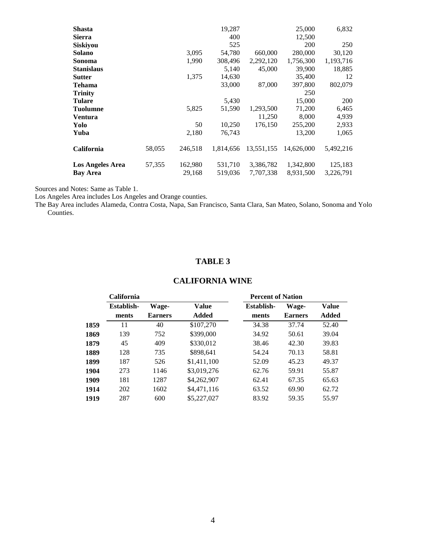| <b>Shasta</b>           |        |         | 19,287    |            | 25,000     | 6,832     |
|-------------------------|--------|---------|-----------|------------|------------|-----------|
| Sierra                  |        |         | 400       |            | 12,500     |           |
| <b>Siskiyou</b>         |        |         | 525       |            | <b>200</b> | 250       |
| Solano                  |        | 3,095   | 54,780    | 660,000    | 280,000    | 30,120    |
| Sonoma                  |        | 1,990   | 308,496   | 2,292,120  | 1,756,300  | 1,193,716 |
| <b>Stanislaus</b>       |        |         | 5,140     | 45,000     | 39,900     | 18,885    |
| <b>Sutter</b>           |        | 1,375   | 14,630    |            | 35,400     | 12        |
| Tehama                  |        |         | 33,000    | 87,000     | 397,800    | 802,079   |
| <b>Trinity</b>          |        |         |           |            | 250        |           |
| <b>Tulare</b>           |        |         | 5,430     |            | 15,000     | 200       |
| <b>Tuolumne</b>         |        | 5,825   | 51,590    | 1,293,500  | 71,200     | 6,465     |
| Ventura                 |        |         |           | 11,250     | 8,000      | 4,939     |
| Yolo                    |        | 50      | 10,250    | 176,150    | 255,200    | 2,933     |
| Yuba                    |        | 2,180   | 76,743    |            | 13,200     | 1,065     |
| <b>California</b>       | 58,055 | 246.518 | 1.814.656 | 13.551.155 | 14,626,000 | 5,492,216 |
| <b>Los Angeles Area</b> | 57,355 | 162,980 | 531,710   | 3,386,782  | 1,342,800  | 125,183   |
| <b>Bay Area</b>         |        | 29,168  | 519,036   | 7,707,338  | 8,931,500  | 3,226,791 |

Sources and Notes: Same as Table 1.

Los Angeles Area includes Los Angeles and Orange counties.

The Bay Area includes Alameda, Contra Costa, Napa, San Francisco, Santa Clara, San Mateo, Solano, Sonoma and Yolo Counties.

#### **TABLE 3**

### **CALIFORNIA WINE**

|      | <b>California</b> |                |             | <b>Percent of Nation</b> |                |              |
|------|-------------------|----------------|-------------|--------------------------|----------------|--------------|
|      | Establish-        | <b>Wage-</b>   | Value       | Establish-               | Wage-          | <b>Value</b> |
|      | ments             | <b>Earners</b> | Added       | ments                    | <b>Earners</b> | Added        |
| 1859 | 11                | 40             | \$107,270   | 34.38                    | 37.74          | 52.40        |
| 1869 | 139               | 752            | \$399,000   | 34.92                    | 50.61          | 39.04        |
| 1879 | 45                | 409            | \$330,012   | 38.46                    | 42.30          | 39.83        |
| 1889 | 128               | 735            | \$898,641   | 54.24                    | 70.13          | 58.81        |
| 1899 | 187               | 526            | \$1,411,100 | 52.09                    | 45.23          | 49.37        |
| 1904 | 273               | 1146           | \$3,019,276 | 62.76                    | 59.91          | 55.87        |
| 1909 | 181               | 1287           | \$4,262,907 | 62.41                    | 67.35          | 65.63        |
| 1914 | 202               | 1602           | \$4,471,116 | 63.52                    | 69.90          | 62.72        |
| 1919 | 287               | 600            | \$5,227,027 | 83.92                    | 59.35          | 55.97        |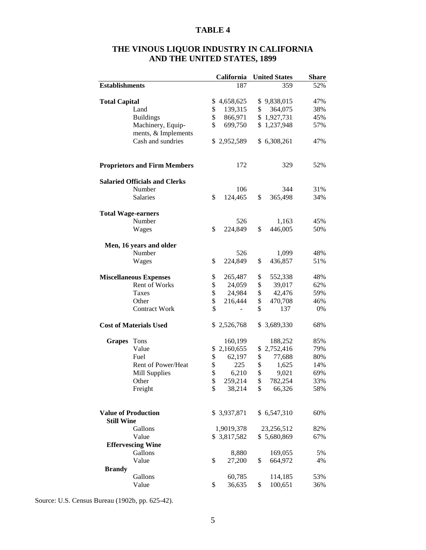| THE VINOUS LIQUOR INDUSTRY IN CALIFORNIA |
|------------------------------------------|
| <b>AND THE UNITED STATES, 1899</b>       |

|                            |                                      |    | California  |              | <b>United States</b> | <b>Share</b> |
|----------------------------|--------------------------------------|----|-------------|--------------|----------------------|--------------|
| <b>Establishments</b>      |                                      |    | 187         |              | 359                  | 52%          |
|                            |                                      |    |             |              |                      |              |
| <b>Total Capital</b>       |                                      |    | \$4,658,625 |              | \$9,838,015          | 47%          |
|                            | Land                                 | \$ | 139,315     | \$           | 364,075              | 38%          |
|                            | <b>Buildings</b>                     | \$ | 866,971     |              | \$1,927,731          | 45%          |
|                            | Machinery, Equip-                    | \$ | 699,750     |              | \$1,237,948          | 57%          |
|                            | ments, & Implements                  |    |             |              |                      |              |
|                            | Cash and sundries                    | S. | 2,952,589   |              | \$6,308,261          | 47%          |
|                            | <b>Proprietors and Firm Members</b>  |    | 172         |              | 329                  | 52%          |
|                            | <b>Salaried Officials and Clerks</b> |    |             |              |                      |              |
|                            | Number                               |    | 106         |              | 344                  | 31%          |
|                            | Salaries                             | \$ | 124,465     | \$           | 365,498              | 34%          |
|                            |                                      |    |             |              |                      |              |
| <b>Total Wage-earners</b>  |                                      |    |             |              |                      |              |
|                            | Number                               |    | 526         |              | 1,163                | 45%          |
|                            | Wages                                | \$ | 224,849     | \$           | 446,005              | 50%          |
|                            | Men, 16 years and older              |    |             |              |                      |              |
|                            | Number                               |    | 526         |              | 1,099                | 48%          |
|                            | Wages                                | \$ | 224,849     | \$           | 436,857              | 51%          |
|                            | <b>Miscellaneous Expenses</b>        | \$ | 265,487     | \$           | 552,338              | 48%          |
|                            | Rent of Works                        | \$ | 24,059      | \$           | 39,017               | 62%          |
|                            | Taxes                                | \$ | 24,984      | \$           | 42,476               | 59%          |
|                            | Other                                | \$ | 216,444     | \$           | 470,708              | 46%          |
|                            | <b>Contract Work</b>                 | \$ |             | \$           | 137                  | 0%           |
|                            | <b>Cost of Materials Used</b>        |    | \$2,526,768 |              | \$3,689,330          | 68%          |
| Grapes Tons                |                                      |    | 160,199     |              | 188,252              | 85%          |
|                            | Value                                | \$ | 2,160,655   | \$           | 2,752,416            | 79%          |
|                            | Fuel                                 | \$ | 62,197      | \$           | 77,688               | 80%          |
|                            | Rent of Power/Heat                   | \$ | 225         | \$           | 1,625                | 14%          |
|                            | <b>Mill Supplies</b>                 | \$ | 6,210       | \$           | 9,021                | 69%          |
|                            |                                      | \$ | 259,214     | $\mathbb{S}$ | 782,254              | 33%          |
|                            | Other                                | \$ | 38,214      | \$           |                      | 58%          |
|                            | Freight                              |    |             |              | 66,326               |              |
| <b>Value of Production</b> |                                      |    | \$3,937,871 |              | \$6,547,310          | 60%          |
| <b>Still Wine</b>          |                                      |    |             |              |                      |              |
|                            | Gallons                              |    | 1,9019,378  |              | 23,256,512           | 82%          |
|                            | Value                                |    | \$3,817,582 |              | \$5,680,869          | 67%          |
|                            | <b>Effervescing Wine</b>             |    |             |              |                      |              |
|                            | Gallons                              |    | 8,880       |              | 169,055              | 5%           |
|                            | Value                                | \$ | 27,200      | \$           | 664,972              | 4%           |
| <b>Brandy</b>              |                                      |    |             |              |                      |              |
|                            | Gallons                              |    | 60,785      |              | 114,185              | 53%          |
|                            | Value                                | \$ | 36,635      | \$           | 100,651              | 36%          |

Source: U.S. Census Bureau (1902b, pp. 625-42).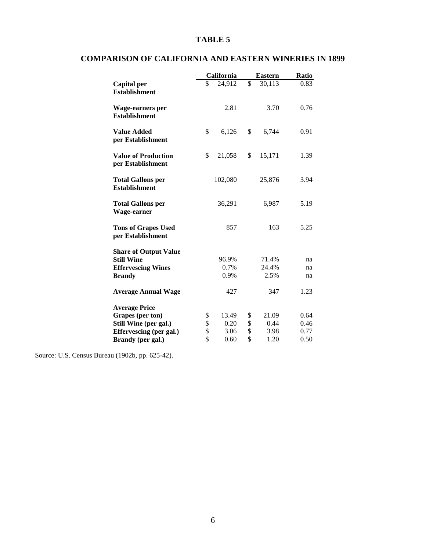|                                                  | California   |                         | <b>Eastern</b> | Ratio |
|--------------------------------------------------|--------------|-------------------------|----------------|-------|
| <b>Capital</b> per<br><b>Establishment</b>       | \$<br>24,912 | $\overline{\mathbb{S}}$ | 30,113         | 0.83  |
| Wage-earners per<br><b>Establishment</b>         | 2.81         |                         | 3.70           | 0.76  |
| <b>Value Added</b><br>per Establishment          | \$<br>6,126  | \$                      | 6,744          | 0.91  |
| <b>Value of Production</b><br>per Establishment  | \$<br>21,058 | \$                      | 15,171         | 1.39  |
| <b>Total Gallons per</b><br><b>Establishment</b> | 102,080      |                         | 25,876         | 3.94  |
| <b>Total Gallons per</b><br>Wage-earner          | 36,291       |                         | 6,987          | 5.19  |
| <b>Tons of Grapes Used</b><br>per Establishment  | 857          |                         | 163            | 5.25  |
| <b>Share of Output Value</b>                     |              |                         |                |       |
| <b>Still Wine</b>                                | 96.9%        |                         | 71.4%          | na    |
| <b>Effervescing Wines</b>                        | 0.7%         |                         | 24.4%          | na    |
| <b>Brandy</b>                                    | 0.9%         |                         | 2.5%           | na    |
| <b>Average Annual Wage</b>                       | 427          |                         | 347            | 1.23  |
| <b>Average Price</b>                             |              |                         |                |       |
| Grapes (per ton)                                 | \$<br>13.49  | \$                      | 21.09          | 0.64  |
| Still Wine (per gal.)                            | \$<br>0.20   | \$                      | 0.44           | 0.46  |
| Effervescing (per gal.)                          | \$<br>3.06   | \$                      | 3.98           | 0.77  |
| Brandy (per gal.)                                | \$<br>0.60   | \$                      | 1.20           | 0.50  |

## **COMPARISON OF CALIFORNIA AND EASTERN WINERIES IN 1899**

Source: U.S. Census Bureau (1902b, pp. 625-42).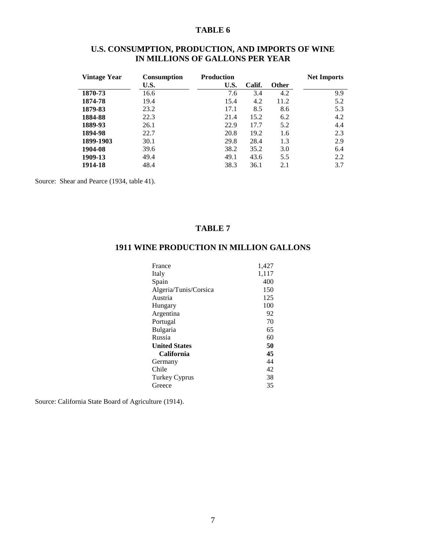| U.S. CONSUMPTION, PRODUCTION, AND IMPORTS OF WINE |  |
|---------------------------------------------------|--|
| IN MILLIONS OF GALLONS PER YEAR                   |  |

| Vintage Year | <b>Consumption</b> | <b>Production</b> |        |              | <b>Net Imports</b> |
|--------------|--------------------|-------------------|--------|--------------|--------------------|
|              | U.S.               | U.S.              | Calif. | <b>Other</b> |                    |
| 1870-73      | 16.6               | 7.6               | 3.4    | 4.2          | 9.9                |
| 1874-78      | 19.4               | 15.4              | 4.2    | 11.2         | 5.2                |
| 1879-83      | 23.2               | 17.1              | 8.5    | 8.6          | 5.3                |
| 1884-88      | 22.3               | 21.4              | 15.2   | 6.2          | 4.2                |
| 1889-93      | 26.1               | 22.9              | 17.7   | 5.2          | 4.4                |
| 1894-98      | 22.7               | 20.8              | 19.2   | 1.6          | 2.3                |
| 1899-1903    | 30.1               | 29.8              | 28.4   | 1.3          | 2.9                |
| 1904-08      | 39.6               | 38.2              | 35.2   | 3.0          | 6.4                |
| 1909-13      | 49.4               | 49.1              | 43.6   | 5.5          | 2.2                |
| 1914-18      | 48.4               | 38.3              | 36.1   | 2.1          | 3.7                |

Source: Shear and Pearce (1934, table 41).

#### **TABLE 7**

### **1911 WINE PRODUCTION IN MILLION GALLONS**

| France                | 1,427 |
|-----------------------|-------|
| Italy                 | 1,117 |
| Spain                 | 400   |
| Algeria/Tunis/Corsica | 150   |
| Austria               | 125   |
| Hungary               | 100   |
| Argentina             | 92    |
| Portugal              | 70    |
| <b>Bulgaria</b>       | 65    |
| Russia                | 60    |
| <b>United States</b>  | 50    |
| California            | 45    |
| Germany               | 44    |
| Chile                 | 42    |
| Turkey Cyprus         | 38    |
| Greece                | 35    |

Source: California State Board of Agriculture (1914).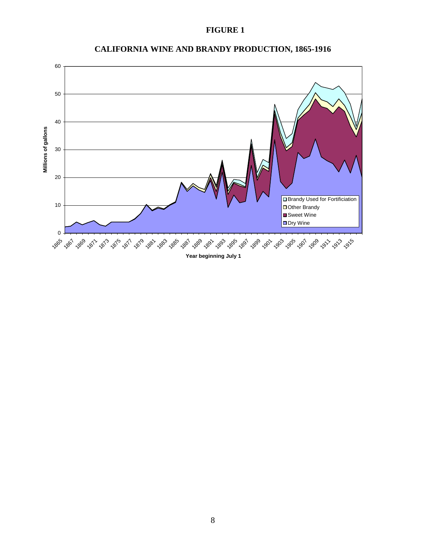#### **FIGURE 1**



### **CALIFORNIA WINE AND BRANDY PRODUCTION, 1865 Figure 1: California Wine and Brandy Production, 1865-1916 -1916**

**Year beginning July 1**